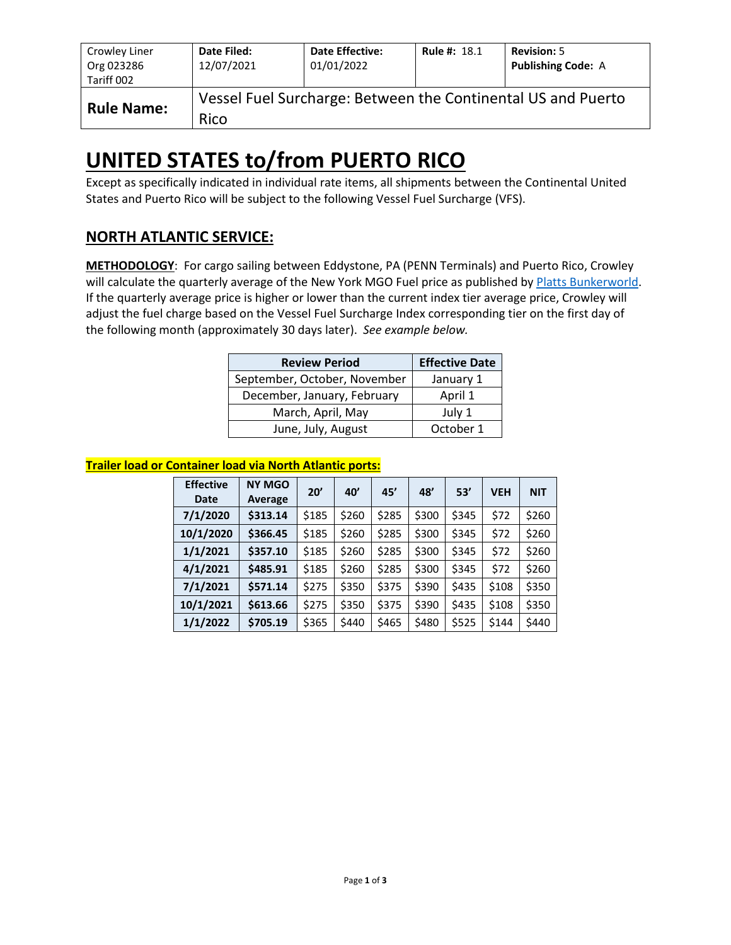| Crowley Liner<br>Org 023286<br>Tariff 002 | Date Filed:<br>12/07/2021 | <b>Date Effective:</b><br>01/01/2022 | <b>Rule #: 18.1</b> | <b>Revision: 5</b><br><b>Publishing Code: A</b>              |
|-------------------------------------------|---------------------------|--------------------------------------|---------------------|--------------------------------------------------------------|
| <b>Rule Name:</b>                         | Rico                      |                                      |                     | Vessel Fuel Surcharge: Between the Continental US and Puerto |

# **UNITED STATES to/from PUERTO RICO**

Except as specifically indicated in individual rate items, all shipments between the Continental United States and Puerto Rico will be subject to the following Vessel Fuel Surcharge (VFS).

## **NORTH ATLANTIC SERVICE:**

**METHODOLOGY**: For cargo sailing between Eddystone, PA (PENN Terminals) and Puerto Rico, Crowley will calculate the quarterly average of the New York MGO Fuel price as published b[y Platts Bunkerworld.](http://www.bunkerworld.com/) If the quarterly average price is higher or lower than the current index tier average price, Crowley will adjust the fuel charge based on the Vessel Fuel Surcharge Index corresponding tier on the first day of the following month (approximately 30 days later). *See example below.*

| <b>Review Period</b>         | <b>Effective Date</b> |
|------------------------------|-----------------------|
| September, October, November | January 1             |
| December, January, February  | April 1               |
| March, April, May            | July 1                |
| June, July, August           | October 1             |

#### **Trailer load or Container load via North Atlantic ports:**

| <b>Effective</b><br><b>Date</b> | <b>NY MGO</b><br>Average | 20'   | 40'   | 45'   | 48'   | 53'   | <b>VEH</b> | <b>NIT</b> |
|---------------------------------|--------------------------|-------|-------|-------|-------|-------|------------|------------|
| 7/1/2020                        | \$313.14                 | \$185 | \$260 | \$285 | \$300 | \$345 | \$72       | \$260      |
| 10/1/2020                       | \$366.45                 | \$185 | \$260 | \$285 | \$300 | \$345 | \$72       | \$260      |
| 1/1/2021                        | \$357.10                 | \$185 | \$260 | \$285 | \$300 | \$345 | \$72       | \$260      |
| 4/1/2021                        | \$485.91                 | \$185 | \$260 | \$285 | \$300 | \$345 | \$72       | \$260      |
| 7/1/2021                        | \$571.14                 | \$275 | \$350 | \$375 | \$390 | \$435 | \$108      | \$350      |
| 10/1/2021                       | \$613.66                 | \$275 | \$350 | \$375 | \$390 | \$435 | \$108      | \$350      |
| 1/1/2022                        | \$705.19                 | \$365 | \$440 | \$465 | \$480 | \$525 | \$144      | \$440      |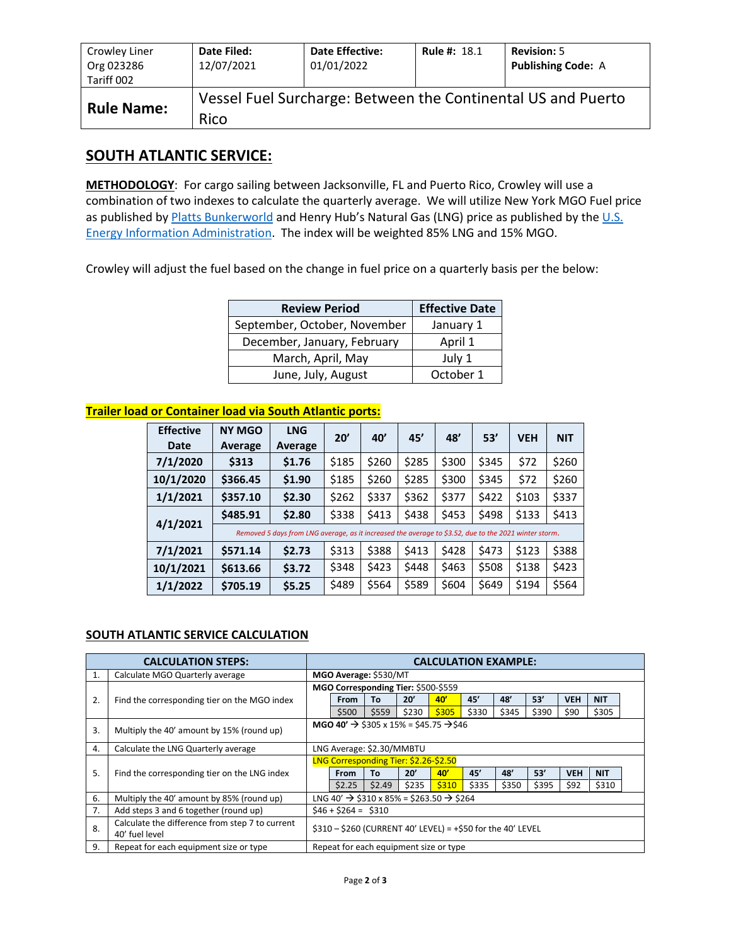| Crowley Liner<br>Org 023286<br>Tariff 002 | Date Filed:<br>12/07/2021 | <b>Date Effective:</b><br>01/01/2022 | <b>Rule #: 18.1</b> | <b>Revision: 5</b><br><b>Publishing Code: A</b>              |
|-------------------------------------------|---------------------------|--------------------------------------|---------------------|--------------------------------------------------------------|
| <b>Rule Name:</b>                         | Rico                      |                                      |                     | Vessel Fuel Surcharge: Between the Continental US and Puerto |

### **SOUTH ATLANTIC SERVICE:**

**METHODOLOGY**: For cargo sailing between Jacksonville, FL and Puerto Rico, Crowley will use a combination of two indexes to calculate the quarterly average. We will utilize New York MGO Fuel price as published b[y Platts Bunkerworld](http://www.bunkerworld.com/) and Henry Hub's Natural Gas (LNG) price as published by the U.S. [Energy Information Administration.](https://www.eia.gov/dnav/ng/hist/rngwhhdD.htm) The index will be weighted 85% LNG and 15% MGO.

Crowley will adjust the fuel based on the change in fuel price on a quarterly basis per the below:

| <b>Review Period</b>         | <b>Effective Date</b> |
|------------------------------|-----------------------|
| September, October, November | January 1             |
| December, January, February  | April 1               |
| March, April, May            | July 1                |
| June, July, August           | October 1             |

#### **Trailer load or Container load via South Atlantic ports:**

| <b>Effective</b><br><b>Date</b> | <b>NY MGO</b><br>Average                                                                              | <b>LNG</b><br>Average | 20'   | 40'   | 45'   | 48'   | 53'   | <b>VEH</b> | <b>NIT</b> |  |
|---------------------------------|-------------------------------------------------------------------------------------------------------|-----------------------|-------|-------|-------|-------|-------|------------|------------|--|
| 7/1/2020                        | \$313                                                                                                 | \$1.76                | \$185 | \$260 | \$285 | \$300 | \$345 | \$72       | \$260      |  |
| 10/1/2020                       | \$366.45                                                                                              | \$1.90                | \$185 | \$260 | \$285 | \$300 | \$345 | \$72       | \$260      |  |
| 1/1/2021                        | \$357.10                                                                                              | \$2.30                | \$262 | \$337 | \$362 | \$377 | \$422 | \$103      | \$337      |  |
|                                 | \$485.91                                                                                              | \$2.80                | \$338 | \$413 | \$438 | \$453 | \$498 | \$133      | \$413      |  |
| 4/1/2021                        | Removed 5 days from LNG average, as it increased the average to \$3.52, due to the 2021 winter storm. |                       |       |       |       |       |       |            |            |  |
| 7/1/2021                        | \$571.14                                                                                              | \$2.73                | \$313 | \$388 | \$413 | \$428 | \$473 | \$123      | \$388      |  |
| 10/1/2021                       | \$613.66                                                                                              | \$3.72                | \$348 | \$423 | \$448 | \$463 | \$508 | \$138      | \$423      |  |
| 1/1/2022                        | \$705.19                                                                                              | \$5.25                | \$489 | \$564 | \$589 | \$604 | \$649 | \$194      | \$564      |  |

#### **SOUTH ATLANTIC SERVICE CALCULATION**

| <b>CALCULATION STEPS:</b> |                                                                   |                                                                | <b>CALCULATION EXAMPLE:</b>                                      |        |       |       |       |       |       |            |            |  |
|---------------------------|-------------------------------------------------------------------|----------------------------------------------------------------|------------------------------------------------------------------|--------|-------|-------|-------|-------|-------|------------|------------|--|
| 1.                        | Calculate MGO Quarterly average                                   |                                                                | MGO Average: \$530/MT                                            |        |       |       |       |       |       |            |            |  |
|                           |                                                                   | MGO Corresponding Tier: \$500-\$559                            |                                                                  |        |       |       |       |       |       |            |            |  |
| 2.                        | Find the corresponding tier on the MGO index                      |                                                                | From                                                             | То     | 20'   | 40'   | 45'   | 48'   | 53'   | <b>VEH</b> | <b>NIT</b> |  |
|                           |                                                                   |                                                                | \$500                                                            | \$559  | \$230 | \$305 | \$330 | \$345 | \$390 | \$90       | \$305      |  |
| 3.                        | Multiply the 40' amount by 15% (round up)                         | MGO 40' $\rightarrow$ \$305 x 15% = \$45.75 $\rightarrow$ \$46 |                                                                  |        |       |       |       |       |       |            |            |  |
| 4.                        | Calculate the LNG Quarterly average                               | LNG Average: \$2.30/MMBTU                                      |                                                                  |        |       |       |       |       |       |            |            |  |
|                           |                                                                   |                                                                | LNG Corresponding Tier: \$2.26-\$2.50                            |        |       |       |       |       |       |            |            |  |
| 5.                        | Find the corresponding tier on the LNG index                      |                                                                | From                                                             | Тο     | 20'   | 40'   | 45'   | 48'   | 53'   | <b>VEH</b> | <b>NIT</b> |  |
|                           |                                                                   |                                                                | \$2.25                                                           | \$2.49 | \$235 | \$310 | \$335 | \$350 | \$395 | \$92       | \$310      |  |
| 6.                        | Multiply the 40' amount by 85% (round up)                         |                                                                | LNG 40' $\rightarrow$ \$310 x 85% = \$263.50 $\rightarrow$ \$264 |        |       |       |       |       |       |            |            |  |
| 7.                        | Add steps 3 and 6 together (round up)                             | $$46 + $264 = $310$                                            |                                                                  |        |       |       |       |       |       |            |            |  |
| 8.                        | Calculate the difference from step 7 to current<br>40' fuel level | \$310 - \$260 (CURRENT 40' LEVEL) = +\$50 for the 40' LEVEL    |                                                                  |        |       |       |       |       |       |            |            |  |
| 9.                        | Repeat for each equipment size or type                            |                                                                | Repeat for each equipment size or type                           |        |       |       |       |       |       |            |            |  |